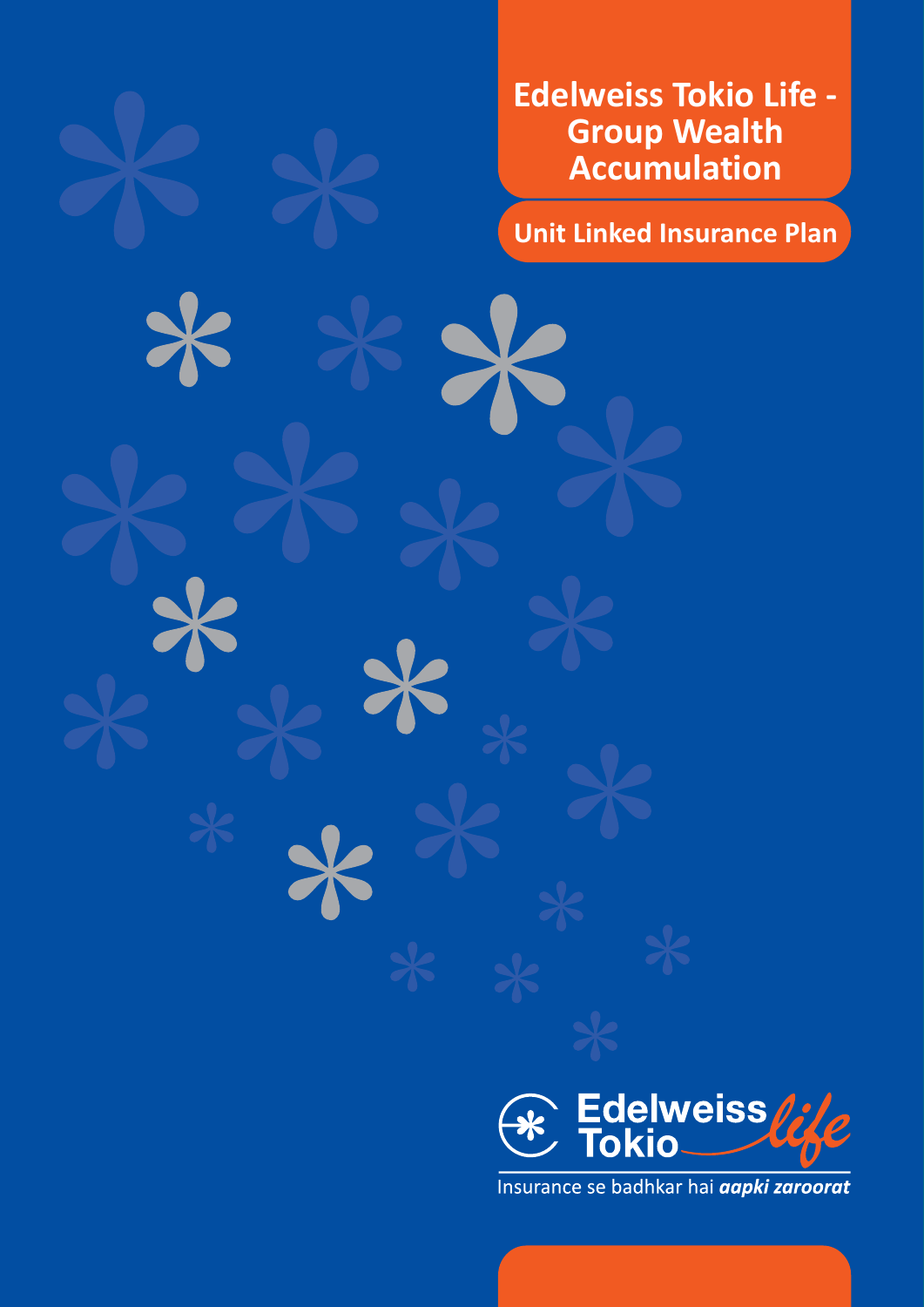**Edelweiss Tokio Life - Group Wealth Accumulation**

**Unit Linked Insurance Plan**



Insurance se badhkar hai **aapki zaroorat**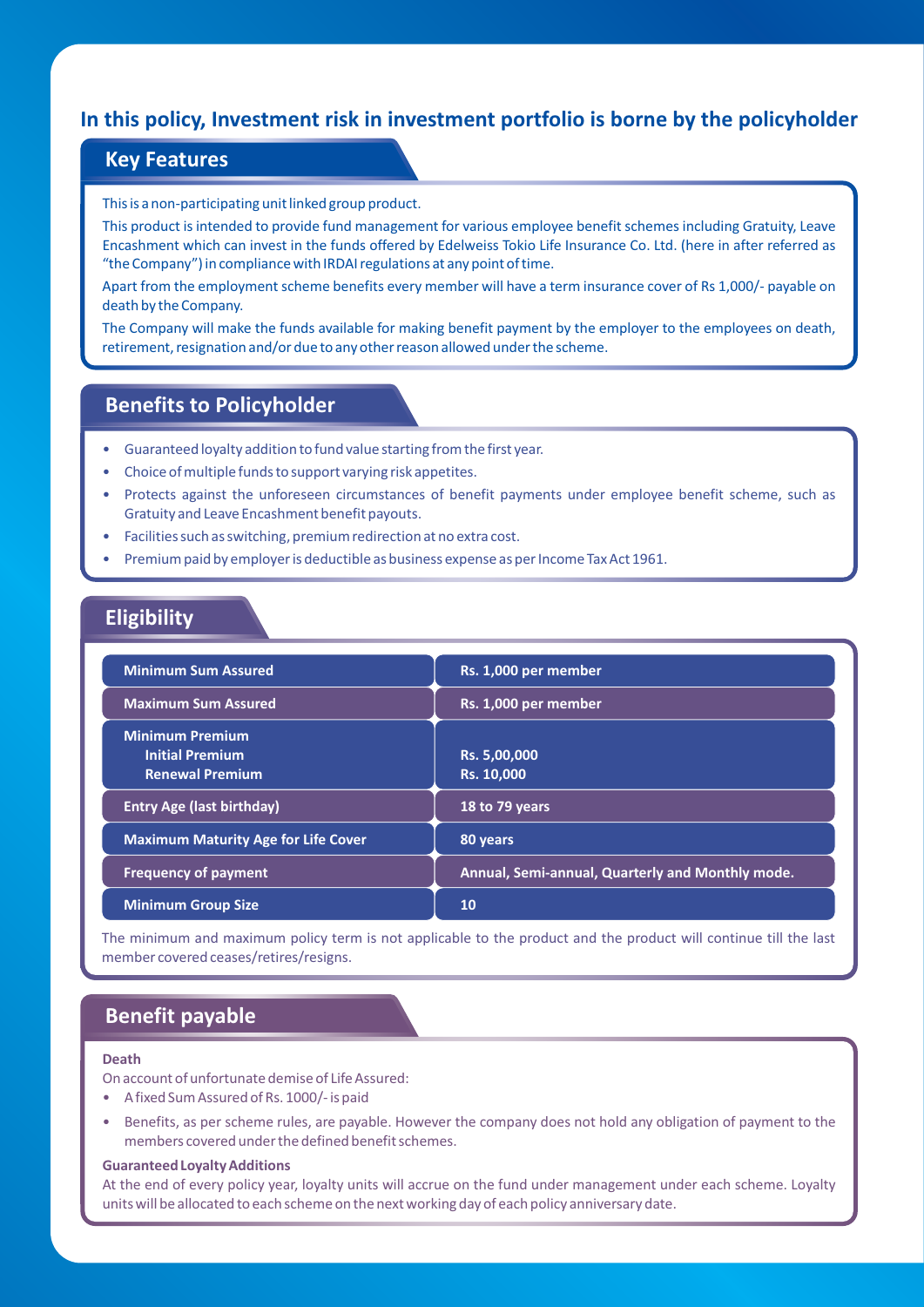# **In this policy, Investment risk in investment portfolio is borne by the policyholder**

## **Key Features**

This is a non-participating unit linked group product.

This product is intended to provide fund management for various employee benefit schemes including Gratuity, Leave Encashment which can invest in the funds offered by Edelweiss Tokio Life Insurance Co. Ltd. (here in after referred as "the Company") in compliance with IRDAI regulations at any point of time.

Apart from the employment scheme benefits every member will have a term insurance cover of Rs 1,000/- payable on death by the Company.

The Company will make the funds available for making benefit payment by the employer to the employees on death, retirement, resignation and/or due to any other reason allowed under the scheme.

# **Benefits to Policyholder**

- Guaranteed loyalty addition to fund value starting from the first year.
- Choice of multiple funds to support varying risk appetites.
- Protects against the unforeseen circumstances of benefit payments under employee benefit scheme, such as Gratuity and Leave Encashment benefit payouts.
- Facilities such as switching, premium redirection at no extra cost.
- Premium paid by employer is deductible as business expense as per Income Tax Act 1961.

## **Eligibility**

| <b>Minimum Sum Assured</b>                                                 | Rs. 1,000 per member                             |  |
|----------------------------------------------------------------------------|--------------------------------------------------|--|
| <b>Maximum Sum Assured</b>                                                 | Rs. 1,000 per member                             |  |
| <b>Minimum Premium</b><br><b>Initial Premium</b><br><b>Renewal Premium</b> | Rs. 5,00,000<br>Rs. 10,000                       |  |
| <b>Entry Age (last birthday)</b>                                           | 18 to 79 years                                   |  |
| <b>Maximum Maturity Age for Life Cover</b>                                 | 80 years                                         |  |
| <b>Frequency of payment</b>                                                | Annual, Semi-annual, Quarterly and Monthly mode. |  |
| <b>Minimum Group Size</b>                                                  | 10                                               |  |

The minimum and maximum policy term is not applicable to the product and the product will continue till the last member covered ceases/retires/resigns.

# **Benefit payable**

### **Death**

On account of unfortunate demise of Life Assured:

- A fixed Sum Assured of Rs. 1000/- is paid
- Benefits, as per scheme rules, are payable. However the company does not hold any obligation of payment to the members covered under the defined benefit schemes.

#### **Guaranteed Loyalty Additions**

At the end of every policy year, loyalty units will accrue on the fund under management under each scheme. Loyalty units will be allocated to each scheme on the next working day of each policy anniversary date.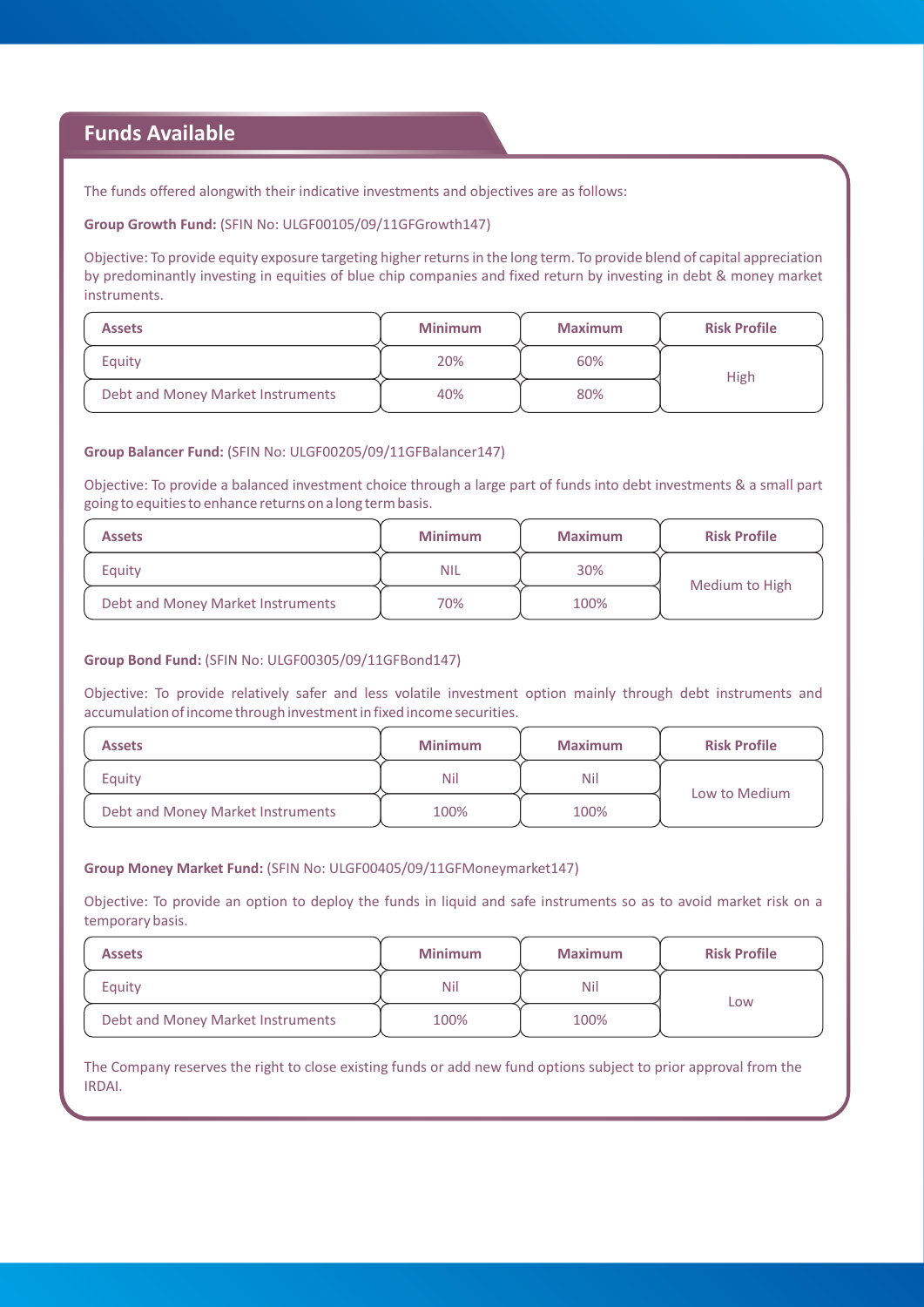# **Funds Available**

The funds offered alongwith their indicative investments and objectives are as follows:

**Group Growth Fund:** (SFIN No: ULGF00105/09/11GFGrowth147)

Objective: To provide equity exposure targeting higher returns in the long term. To provide blend of capital appreciation by predominantly investing in equities of blue chip companies and fixed return by investing in debt & money market instruments.

| <b>Assets</b>                     | <b>Minimum</b> | <b>Maximum</b> | <b>Risk Profile</b> |
|-----------------------------------|----------------|----------------|---------------------|
| Equity                            | 20%            | 60%            | High                |
| Debt and Money Market Instruments | 40%            | 80%            |                     |

#### **Group Balancer Fund:** (SFIN No: ULGF00205/09/11GFBalancer147)

Objective: To provide a balanced investment choice through a large part of funds into debt investments & a small part going to equities to enhance returns on a long term basis.

| <b>Assets</b>                     | <b>Minimum</b> | <b>Maximum</b> | <b>Risk Profile</b> |
|-----------------------------------|----------------|----------------|---------------------|
| Equity                            | <b>NIL</b>     | 30%            | Medium to High      |
| Debt and Money Market Instruments | 70%            | 100%           |                     |

### **Group Bond Fund:** (SFIN No: ULGF00305/09/11GFBond147)

Objective: To provide relatively safer and less volatile investment option mainly through debt instruments and accumulation of income through investment in fixed income securities.

| <b>Assets</b>                     | <b>Minimum</b> | <b>Maximum</b> | <b>Risk Profile</b> |
|-----------------------------------|----------------|----------------|---------------------|
| Eauity                            | Nil            | Nil            | Low to Medium       |
| Debt and Money Market Instruments | 100%           | 100%           |                     |

### **Group Money Market Fund:** (SFIN No: ULGF00405/09/11GFMoneymarket147)

Objective: To provide an option to deploy the funds in liquid and safe instruments so as to avoid market risk on a temporary basis.

| <b>Assets</b>                     | <b>Minimum</b> | <b>Maximum</b> | <b>Risk Profile</b> |
|-----------------------------------|----------------|----------------|---------------------|
| Equity                            | Nil            | Nil            | Low                 |
| Debt and Money Market Instruments | 100%           | 100%           |                     |

The Company reserves the right to close existing funds or add new fund options subject to prior approval from the IRDAI.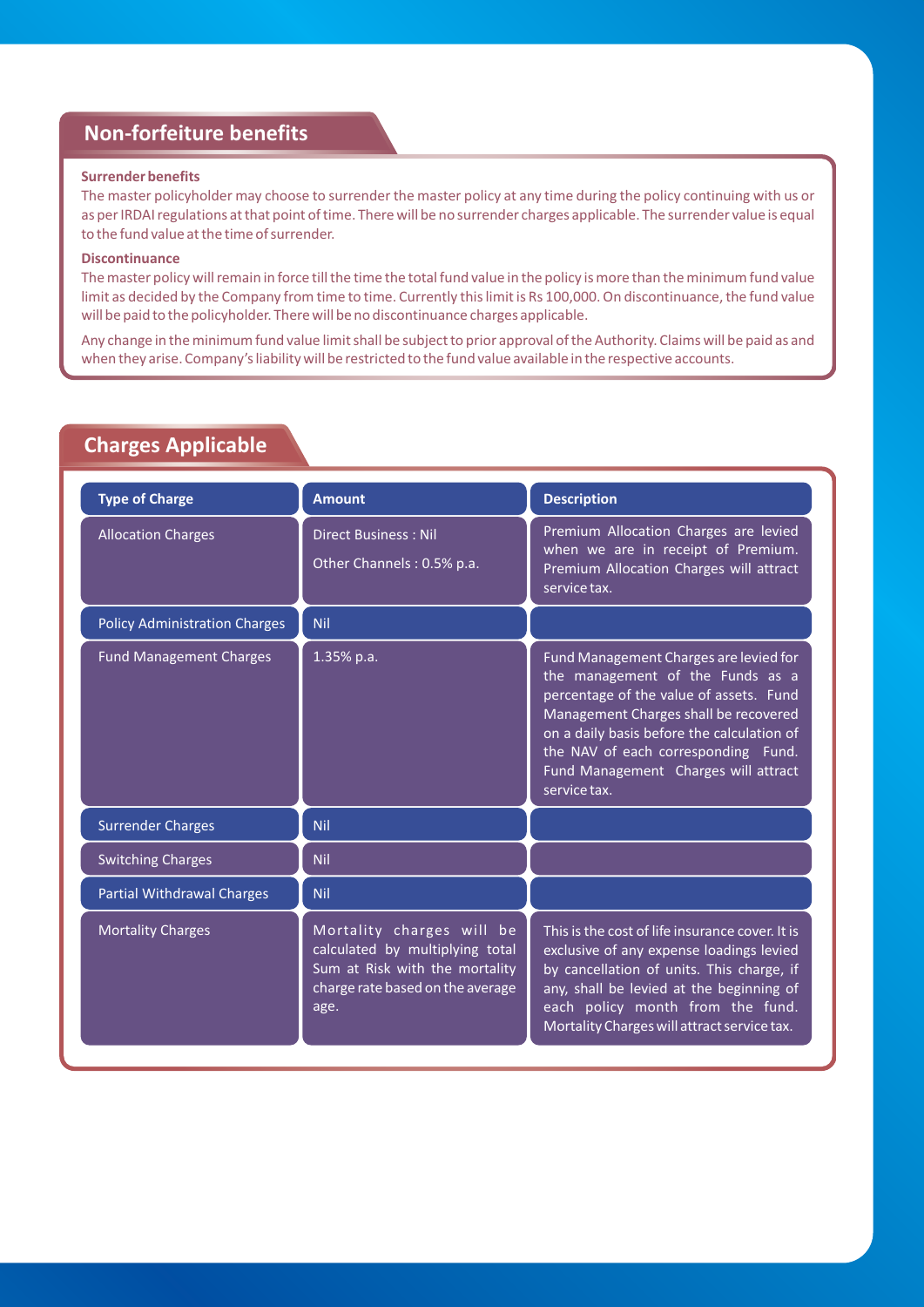# **Non-forfeiture benefits**

### **Surrender benefits**

The master policyholder may choose to surrender the master policy at any time during the policy continuing with us or as per IRDAI regulations at that point of time. There will be no surrender charges applicable. The surrender value is equal to the fund value at the time of surrender.

## **Discontinuance**

The master policy will remain in force till the time the total fund value in the policy is more than the minimum fund value limit as decided by the Company from time to time. Currently this limit is Rs 100,000. On discontinuance, the fund value will be paid to the policyholder. There will be no discontinuance charges applicable.

Any change in the minimum fund value limit shall be subject to prior approval of the Authority. Claims will be paid as and when they arise. Company's liability will be restricted to the fund value available in the respective accounts.

# **Charges Applicable**

| <b>Type of Charge</b>                | <b>Amount</b>                                                                                                                              | <b>Description</b>                                                                                                                                                                                                                                                                                          |
|--------------------------------------|--------------------------------------------------------------------------------------------------------------------------------------------|-------------------------------------------------------------------------------------------------------------------------------------------------------------------------------------------------------------------------------------------------------------------------------------------------------------|
| <b>Allocation Charges</b>            | <b>Direct Business: Nil</b><br>Other Channels: 0.5% p.a.                                                                                   | Premium Allocation Charges are levied<br>when we are in receipt of Premium.<br>Premium Allocation Charges will attract<br>service tax.                                                                                                                                                                      |
| <b>Policy Administration Charges</b> | Nil                                                                                                                                        |                                                                                                                                                                                                                                                                                                             |
| <b>Fund Management Charges</b>       | $1.35\%$ p.a.                                                                                                                              | Fund Management Charges are levied for<br>the management of the Funds as a<br>percentage of the value of assets. Fund<br>Management Charges shall be recovered<br>on a daily basis before the calculation of<br>the NAV of each corresponding Fund.<br>Fund Management Charges will attract<br>service tax. |
| <b>Surrender Charges</b>             | <b>Nil</b>                                                                                                                                 |                                                                                                                                                                                                                                                                                                             |
| <b>Switching Charges</b>             | <b>Nil</b>                                                                                                                                 |                                                                                                                                                                                                                                                                                                             |
| <b>Partial Withdrawal Charges</b>    | <b>Nil</b>                                                                                                                                 |                                                                                                                                                                                                                                                                                                             |
| <b>Mortality Charges</b>             | Mortality charges will be<br>calculated by multiplying total<br>Sum at Risk with the mortality<br>charge rate based on the average<br>age. | This is the cost of life insurance cover. It is<br>exclusive of any expense loadings levied<br>by cancellation of units. This charge, if<br>any, shall be levied at the beginning of<br>each policy month from the fund.<br>Mortality Charges will attract service tax.                                     |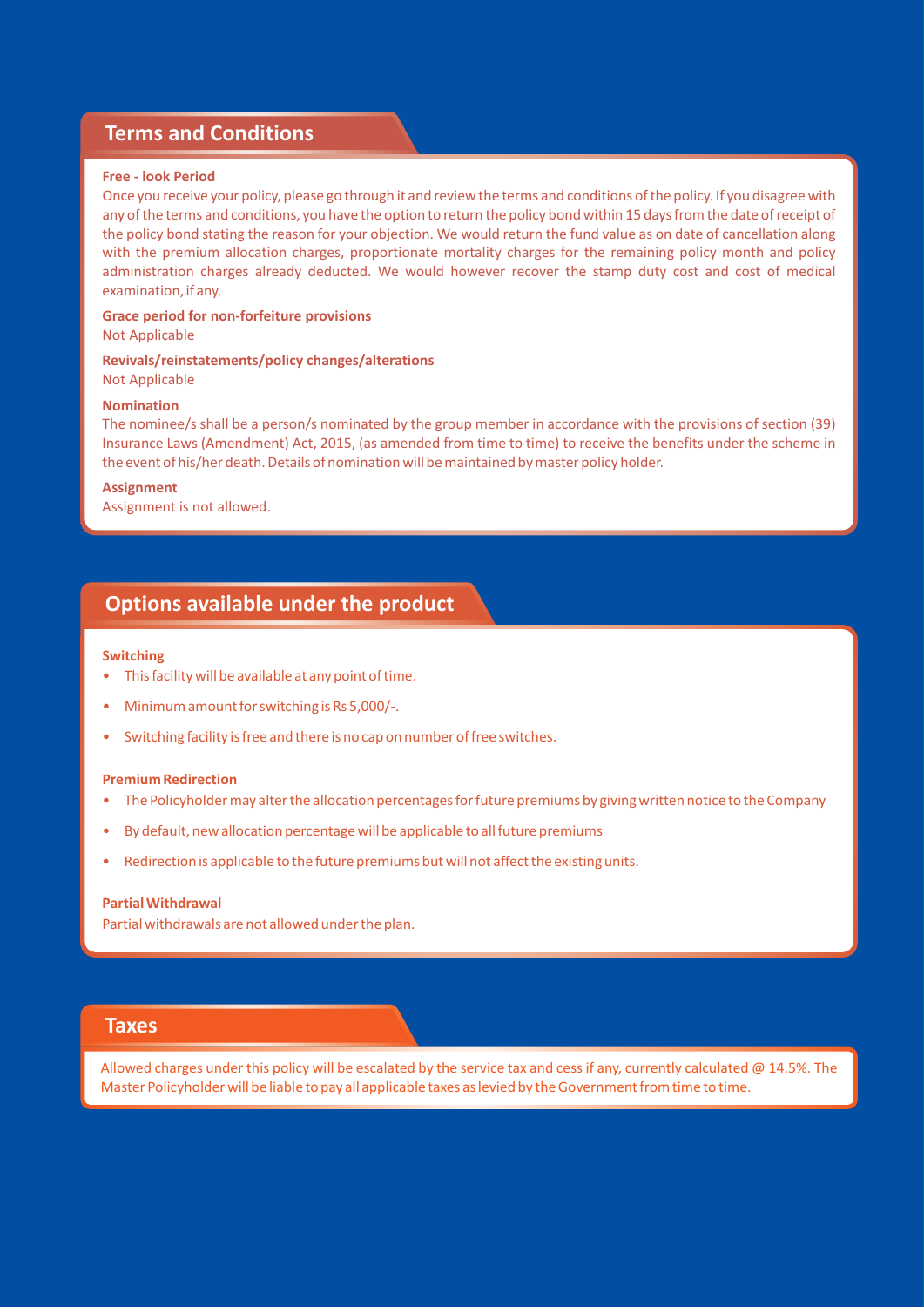## **Terms and Conditions**

### **Free - look Period**

Once you receive your policy, please go through it and review the terms and conditions of the policy. If you disagree with any of the terms and conditions, you have the option to return the policy bond within 15 days from the date of receipt of the policy bond stating the reason for your objection. We would return the fund value as on date of cancellation along with the premium allocation charges, proportionate mortality charges for the remaining policy month and policy administration charges already deducted. We would however recover the stamp duty cost and cost of medical examination, if any.

**Grace period for non-forfeiture provisions** Not Applicable

**Revivals/reinstatements/policy changes/alterations** Not Applicable

#### **Nomination**

The nominee/s shall be a person/s nominated by the group member in accordance with the provisions of section (39) Insurance Laws (Amendment) Act, 2015, (as amended from time to time) to receive the benefits under the scheme in the event of his/her death. Details of nomination will be maintained by master policy holder.

**Assignment**

Assignment is not allowed.

## **Options available under the product**

#### **Switching**

- This facility will be available at any point of time.
- Minimum amount for switching is Rs 5,000/-.
- Switching facility is free and there is no cap on number of free switches.

#### **Premium Redirection**

- The Policyholder may alter the allocation percentages for future premiums by giving written notice to the Company
- By default, new allocation percentage will be applicable to all future premiums
- Redirection is applicable to the future premiums but will not affect the existing units.

#### **Partial Withdrawal**

Partial withdrawals are not allowed under the plan.

## **Taxes**

Allowed charges under this policy will be escalated by the service tax and cess if any, currently calculated  $@14.5\%$ . The Master Policyholder will be liable to pay all applicable taxes as levied by the Government from time to time.